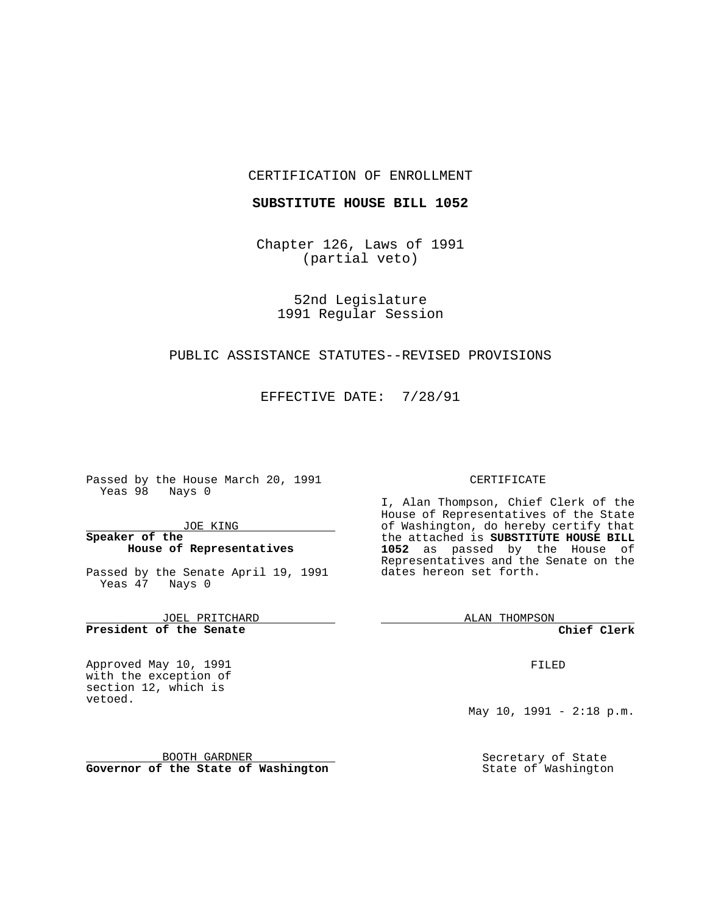#### CERTIFICATION OF ENROLLMENT

### **SUBSTITUTE HOUSE BILL 1052**

Chapter 126, Laws of 1991 (partial veto)

> 52nd Legislature 1991 Regular Session

# PUBLIC ASSISTANCE STATUTES--REVISED PROVISIONS

EFFECTIVE DATE: 7/28/91

Passed by the House March 20, 1991 Yeas 98 Nays 0

JOE KING

# **Speaker of the House of Representatives**

Passed by the Senate April 19, 1991 Yeas 47 Nays 0

JOEL PRITCHARD **President of the Senate**

Approved May 10, 1991 with the exception of section 12, which is vetoed.

BOOTH GARDNER **Governor of the State of Washington**

#### CERTIFICATE

I, Alan Thompson, Chief Clerk of the House of Representatives of the State of Washington, do hereby certify that the attached is **SUBSTITUTE HOUSE BILL 1052** as passed by the House of Representatives and the Senate on the dates hereon set forth.

ALAN THOMPSON

**Chief Clerk**

FILED

May 10, 1991 - 2:18 p.m.

Secretary of State State of Washington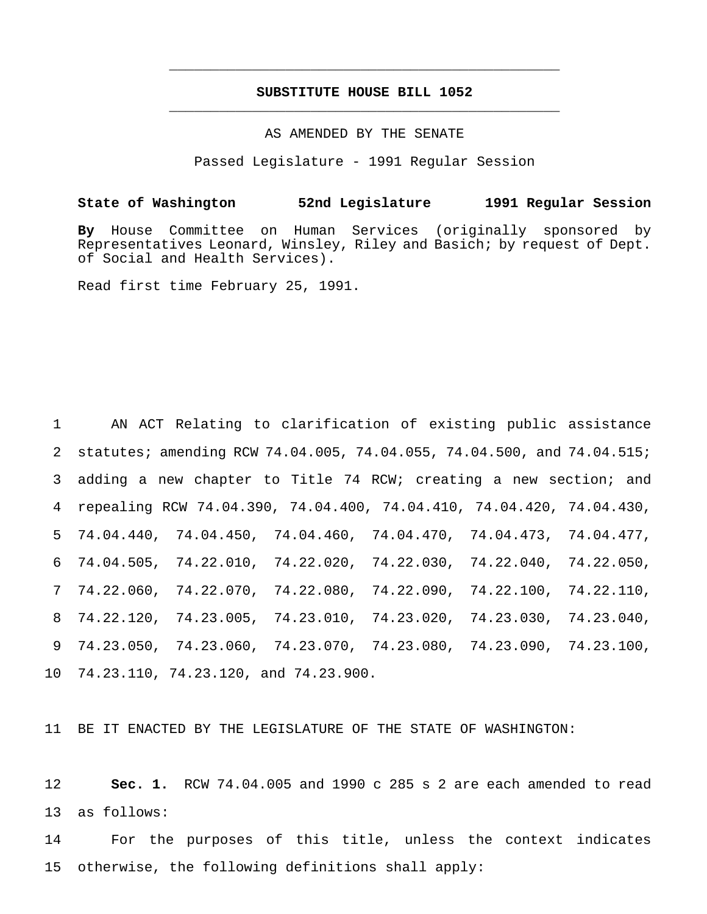# **SUBSTITUTE HOUSE BILL 1052** \_\_\_\_\_\_\_\_\_\_\_\_\_\_\_\_\_\_\_\_\_\_\_\_\_\_\_\_\_\_\_\_\_\_\_\_\_\_\_\_\_\_\_\_\_\_\_

\_\_\_\_\_\_\_\_\_\_\_\_\_\_\_\_\_\_\_\_\_\_\_\_\_\_\_\_\_\_\_\_\_\_\_\_\_\_\_\_\_\_\_\_\_\_\_

AS AMENDED BY THE SENATE

Passed Legislature - 1991 Regular Session

## **State of Washington 52nd Legislature 1991 Regular Session**

**By** House Committee on Human Services (originally sponsored by Representatives Leonard, Winsley, Riley and Basich; by request of Dept. of Social and Health Services).

Read first time February 25, 1991.

 AN ACT Relating to clarification of existing public assistance statutes; amending RCW 74.04.005, 74.04.055, 74.04.500, and 74.04.515; adding a new chapter to Title 74 RCW; creating a new section; and repealing RCW 74.04.390, 74.04.400, 74.04.410, 74.04.420, 74.04.430, 74.04.440, 74.04.450, 74.04.460, 74.04.470, 74.04.473, 74.04.477, 74.04.505, 74.22.010, 74.22.020, 74.22.030, 74.22.040, 74.22.050, 74.22.060, 74.22.070, 74.22.080, 74.22.090, 74.22.100, 74.22.110, 74.22.120, 74.23.005, 74.23.010, 74.23.020, 74.23.030, 74.23.040, 74.23.050, 74.23.060, 74.23.070, 74.23.080, 74.23.090, 74.23.100, 74.23.110, 74.23.120, and 74.23.900.

11 BE IT ENACTED BY THE LEGISLATURE OF THE STATE OF WASHINGTON:

12 **Sec. 1.** RCW 74.04.005 and 1990 c 285 s 2 are each amended to read 13 as follows:

14 For the purposes of this title, unless the context indicates 15 otherwise, the following definitions shall apply: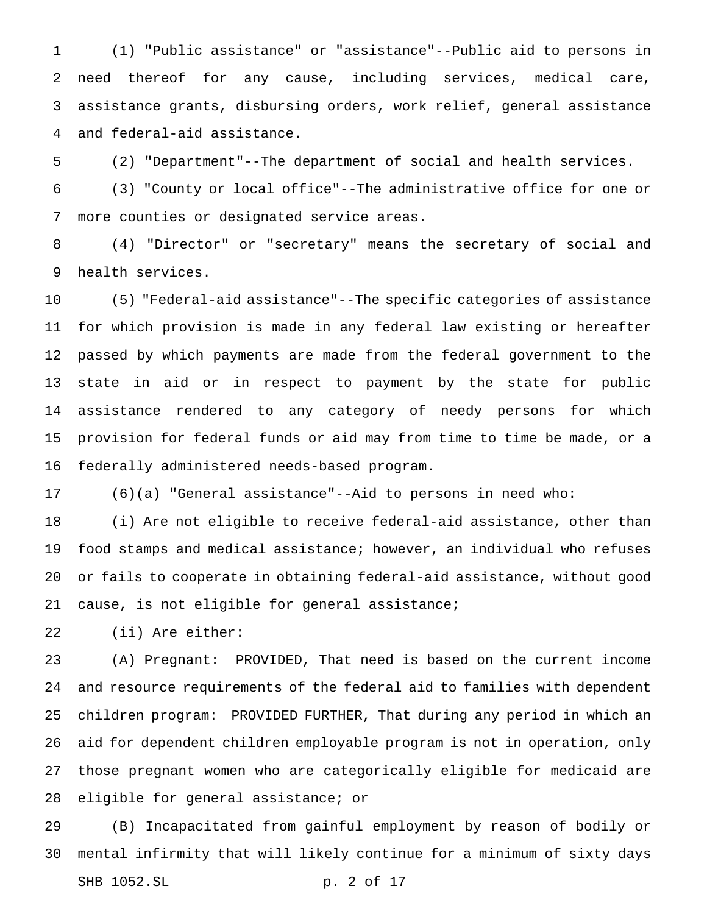(1) "Public assistance" or "assistance"--Public aid to persons in need thereof for any cause, including services, medical care, assistance grants, disbursing orders, work relief, general assistance and federal-aid assistance.

(2) "Department"--The department of social and health services.

 (3) "County or local office"--The administrative office for one or more counties or designated service areas.

 (4) "Director" or "secretary" means the secretary of social and health services.

 (5) "Federal-aid assistance"--The specific categories of assistance for which provision is made in any federal law existing or hereafter passed by which payments are made from the federal government to the state in aid or in respect to payment by the state for public assistance rendered to any category of needy persons for which provision for federal funds or aid may from time to time be made, or a federally administered needs-based program.

(6)(a) "General assistance"--Aid to persons in need who:

 (i) Are not eligible to receive federal-aid assistance, other than food stamps and medical assistance; however, an individual who refuses or fails to cooperate in obtaining federal-aid assistance, without good 21 cause, is not eligible for general assistance;

(ii) Are either:

 (A) Pregnant: PROVIDED, That need is based on the current income and resource requirements of the federal aid to families with dependent children program: PROVIDED FURTHER, That during any period in which an aid for dependent children employable program is not in operation, only those pregnant women who are categorically eligible for medicaid are eligible for general assistance; or

 (B) Incapacitated from gainful employment by reason of bodily or mental infirmity that will likely continue for a minimum of sixty days SHB 1052.SL p. 2 of 17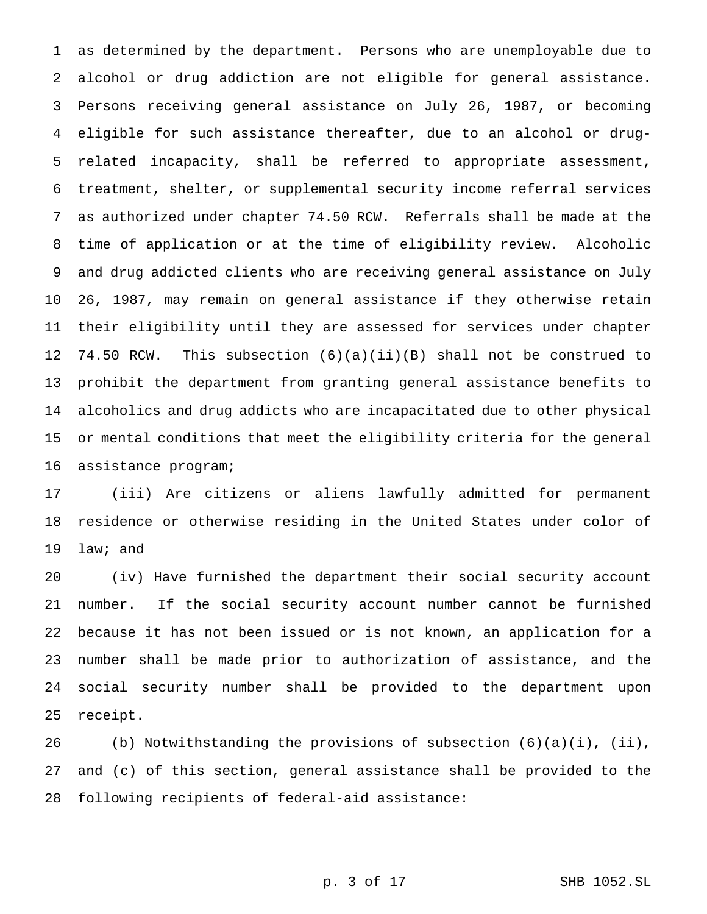as determined by the department. Persons who are unemployable due to alcohol or drug addiction are not eligible for general assistance. Persons receiving general assistance on July 26, 1987, or becoming eligible for such assistance thereafter, due to an alcohol or drug- related incapacity, shall be referred to appropriate assessment, treatment, shelter, or supplemental security income referral services as authorized under chapter 74.50 RCW. Referrals shall be made at the time of application or at the time of eligibility review. Alcoholic and drug addicted clients who are receiving general assistance on July 26, 1987, may remain on general assistance if they otherwise retain their eligibility until they are assessed for services under chapter 74.50 RCW. This subsection (6)(a)(ii)(B) shall not be construed to prohibit the department from granting general assistance benefits to alcoholics and drug addicts who are incapacitated due to other physical or mental conditions that meet the eligibility criteria for the general assistance program;

 (iii) Are citizens or aliens lawfully admitted for permanent residence or otherwise residing in the United States under color of law; and

 (iv) Have furnished the department their social security account number. If the social security account number cannot be furnished because it has not been issued or is not known, an application for a number shall be made prior to authorization of assistance, and the social security number shall be provided to the department upon receipt.

26 (b) Notwithstanding the provisions of subsection  $(6)(a)(i)$ ,  $(ii)$ , and (c) of this section, general assistance shall be provided to the following recipients of federal-aid assistance: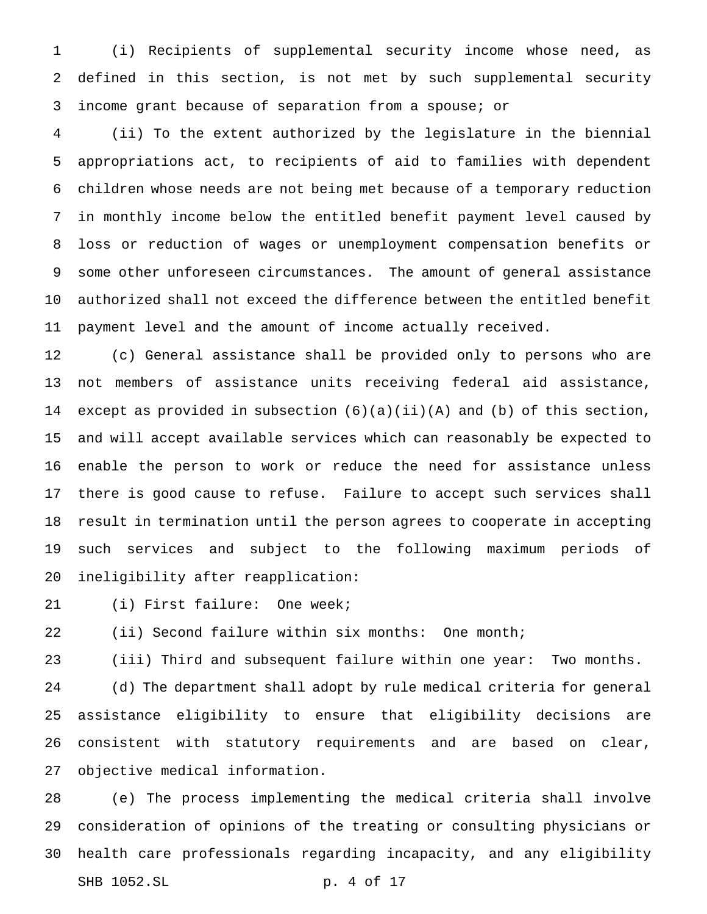(i) Recipients of supplemental security income whose need, as defined in this section, is not met by such supplemental security income grant because of separation from a spouse; or

 (ii) To the extent authorized by the legislature in the biennial appropriations act, to recipients of aid to families with dependent children whose needs are not being met because of a temporary reduction in monthly income below the entitled benefit payment level caused by loss or reduction of wages or unemployment compensation benefits or some other unforeseen circumstances. The amount of general assistance authorized shall not exceed the difference between the entitled benefit payment level and the amount of income actually received.

 (c) General assistance shall be provided only to persons who are not members of assistance units receiving federal aid assistance, except as provided in subsection (6)(a)(ii)(A) and (b) of this section, and will accept available services which can reasonably be expected to enable the person to work or reduce the need for assistance unless there is good cause to refuse. Failure to accept such services shall result in termination until the person agrees to cooperate in accepting such services and subject to the following maximum periods of ineligibility after reapplication:

(i) First failure: One week;

(ii) Second failure within six months: One month;

(iii) Third and subsequent failure within one year: Two months.

 (d) The department shall adopt by rule medical criteria for general assistance eligibility to ensure that eligibility decisions are consistent with statutory requirements and are based on clear, objective medical information.

 (e) The process implementing the medical criteria shall involve consideration of opinions of the treating or consulting physicians or health care professionals regarding incapacity, and any eligibility SHB 1052.SL p. 4 of 17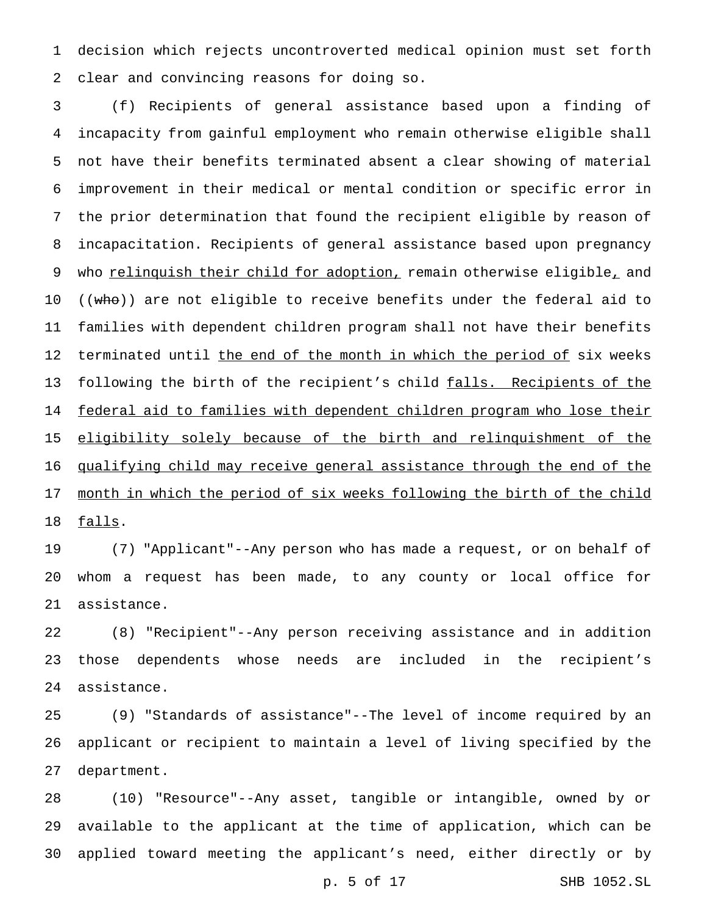decision which rejects uncontroverted medical opinion must set forth clear and convincing reasons for doing so.

 (f) Recipients of general assistance based upon a finding of incapacity from gainful employment who remain otherwise eligible shall not have their benefits terminated absent a clear showing of material improvement in their medical or mental condition or specific error in the prior determination that found the recipient eligible by reason of incapacitation. Recipients of general assistance based upon pregnancy 9 who relinquish their child for adoption, remain otherwise eligible, and 10 ((who)) are not eligible to receive benefits under the federal aid to families with dependent children program shall not have their benefits 12 terminated until the end of the month in which the period of six weeks 13 following the birth of the recipient's child falls. Recipients of the federal aid to families with dependent children program who lose their 15 eligibility solely because of the birth and relinquishment of the qualifying child may receive general assistance through the end of the 17 month in which the period of six weeks following the birth of the child 18 falls.

 (7) "Applicant"--Any person who has made a request, or on behalf of whom a request has been made, to any county or local office for assistance.

 (8) "Recipient"--Any person receiving assistance and in addition those dependents whose needs are included in the recipient's assistance.

 (9) "Standards of assistance"--The level of income required by an applicant or recipient to maintain a level of living specified by the department.

 (10) "Resource"--Any asset, tangible or intangible, owned by or available to the applicant at the time of application, which can be applied toward meeting the applicant's need, either directly or by

p. 5 of 17 SHB 1052.SL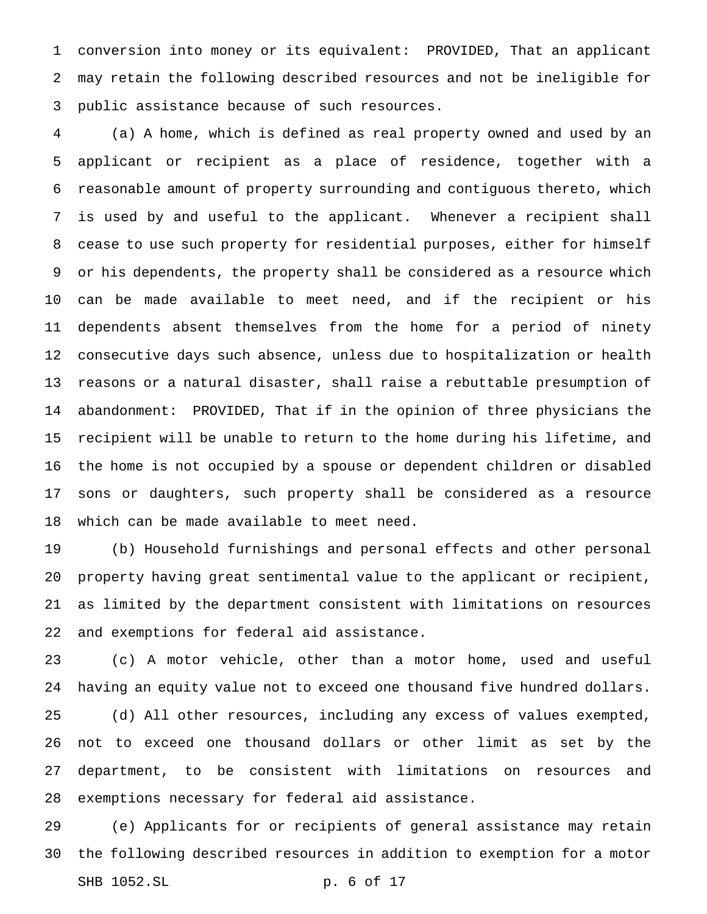conversion into money or its equivalent: PROVIDED, That an applicant may retain the following described resources and not be ineligible for public assistance because of such resources.

 (a) A home, which is defined as real property owned and used by an applicant or recipient as a place of residence, together with a reasonable amount of property surrounding and contiguous thereto, which is used by and useful to the applicant. Whenever a recipient shall cease to use such property for residential purposes, either for himself or his dependents, the property shall be considered as a resource which can be made available to meet need, and if the recipient or his dependents absent themselves from the home for a period of ninety consecutive days such absence, unless due to hospitalization or health reasons or a natural disaster, shall raise a rebuttable presumption of abandonment: PROVIDED, That if in the opinion of three physicians the recipient will be unable to return to the home during his lifetime, and the home is not occupied by a spouse or dependent children or disabled sons or daughters, such property shall be considered as a resource which can be made available to meet need.

 (b) Household furnishings and personal effects and other personal property having great sentimental value to the applicant or recipient, as limited by the department consistent with limitations on resources and exemptions for federal aid assistance.

 (c) A motor vehicle, other than a motor home, used and useful having an equity value not to exceed one thousand five hundred dollars. (d) All other resources, including any excess of values exempted, not to exceed one thousand dollars or other limit as set by the department, to be consistent with limitations on resources and exemptions necessary for federal aid assistance.

 (e) Applicants for or recipients of general assistance may retain the following described resources in addition to exemption for a motor SHB 1052.SL p. 6 of 17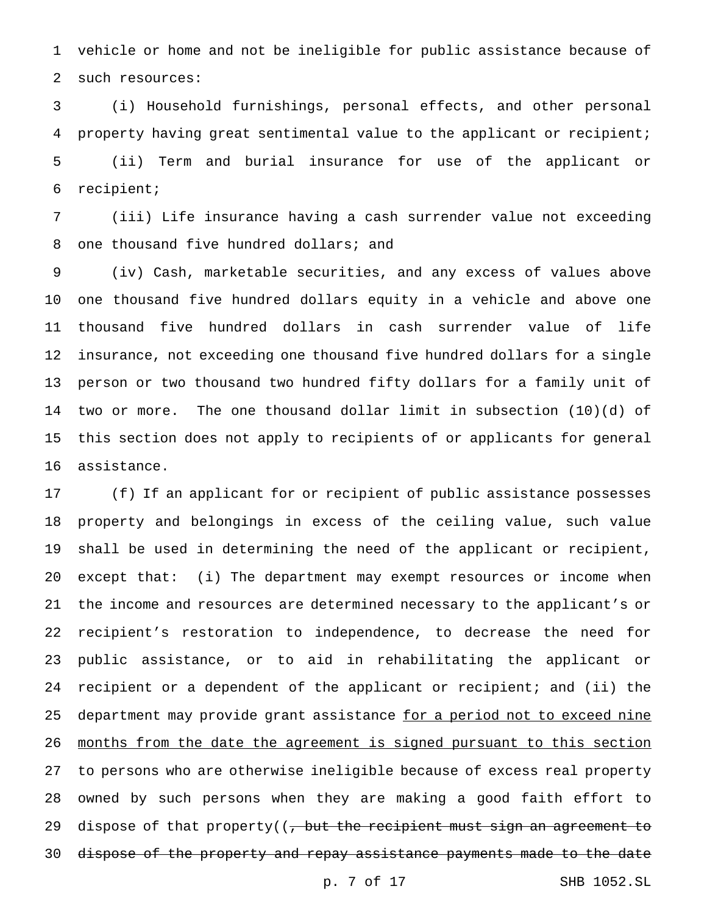vehicle or home and not be ineligible for public assistance because of such resources:

 (i) Household furnishings, personal effects, and other personal property having great sentimental value to the applicant or recipient; (ii) Term and burial insurance for use of the applicant or recipient;

 (iii) Life insurance having a cash surrender value not exceeding 8 one thousand five hundred dollars; and

 (iv) Cash, marketable securities, and any excess of values above one thousand five hundred dollars equity in a vehicle and above one thousand five hundred dollars in cash surrender value of life insurance, not exceeding one thousand five hundred dollars for a single person or two thousand two hundred fifty dollars for a family unit of two or more. The one thousand dollar limit in subsection (10)(d) of this section does not apply to recipients of or applicants for general assistance.

 (f) If an applicant for or recipient of public assistance possesses property and belongings in excess of the ceiling value, such value shall be used in determining the need of the applicant or recipient, except that: (i) The department may exempt resources or income when the income and resources are determined necessary to the applicant's or recipient's restoration to independence, to decrease the need for public assistance, or to aid in rehabilitating the applicant or recipient or a dependent of the applicant or recipient; and (ii) the 25 department may provide grant assistance for a period not to exceed nine months from the date the agreement is signed pursuant to this section to persons who are otherwise ineligible because of excess real property owned by such persons when they are making a good faith effort to 29 dispose of that property( $\frac{1}{2}$  but the recipient must sign an agreement to dispose of the property and repay assistance payments made to the date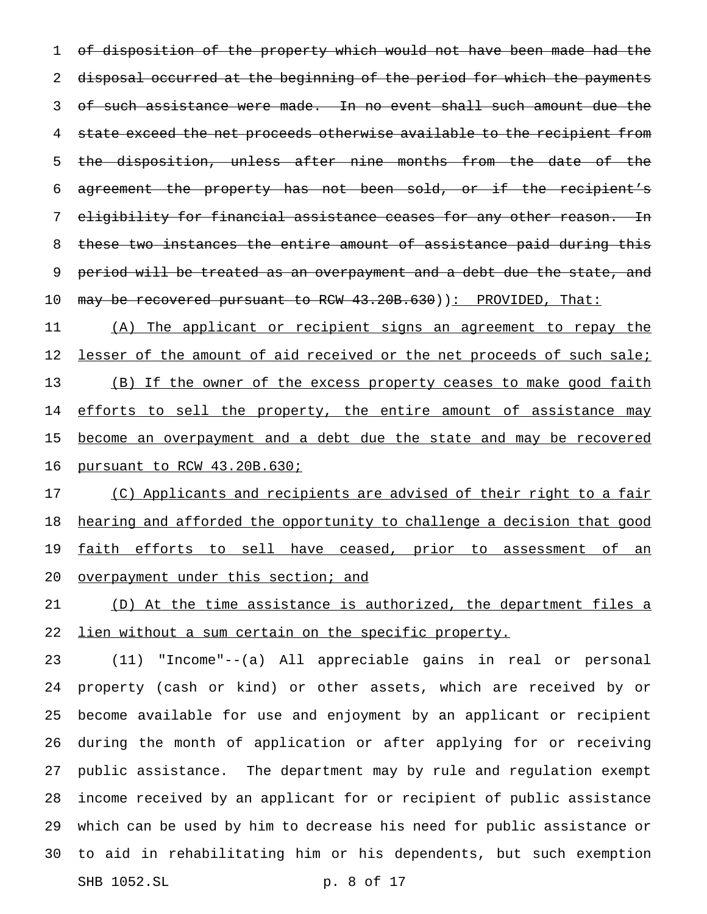1 of disposition of the property which would not have been made had the 2 disposal occurred at the beginning of the period for which the payments 3 of such assistance were made. In no event shall such amount due the 4 state exceed the net proceeds otherwise available to the recipient from 5 the disposition, unless after nine months from the date of the 6 agreement the property has not been sold, or if the recipient's 7 eligibility for financial assistance ceases for any other reason. In 8 these two instances the entire amount of assistance paid during this 9 period will be treated as an overpayment and a debt due the state, and 10 may be recovered pursuant to RCW 43.20B.630)): PROVIDED, That:

11 (A) The applicant or recipient signs an agreement to repay the 12 lesser of the amount of aid received or the net proceeds of such sale; 13 (B) If the owner of the excess property ceases to make good faith 14 efforts to sell the property, the entire amount of assistance may 15 become an overpayment and a debt due the state and may be recovered 16 pursuant to RCW 43.20B.630;

17 (C) Applicants and recipients are advised of their right to a fair 18 hearing and afforded the opportunity to challenge a decision that good 19 faith efforts to sell have ceased, prior to assessment of an 20 overpayment under this section; and

21 (D) At the time assistance is authorized, the department files a 22 lien without a sum certain on the specific property.

 (11) "Income"--(a) All appreciable gains in real or personal property (cash or kind) or other assets, which are received by or become available for use and enjoyment by an applicant or recipient during the month of application or after applying for or receiving public assistance. The department may by rule and regulation exempt income received by an applicant for or recipient of public assistance which can be used by him to decrease his need for public assistance or to aid in rehabilitating him or his dependents, but such exemption SHB 1052.SL p. 8 of 17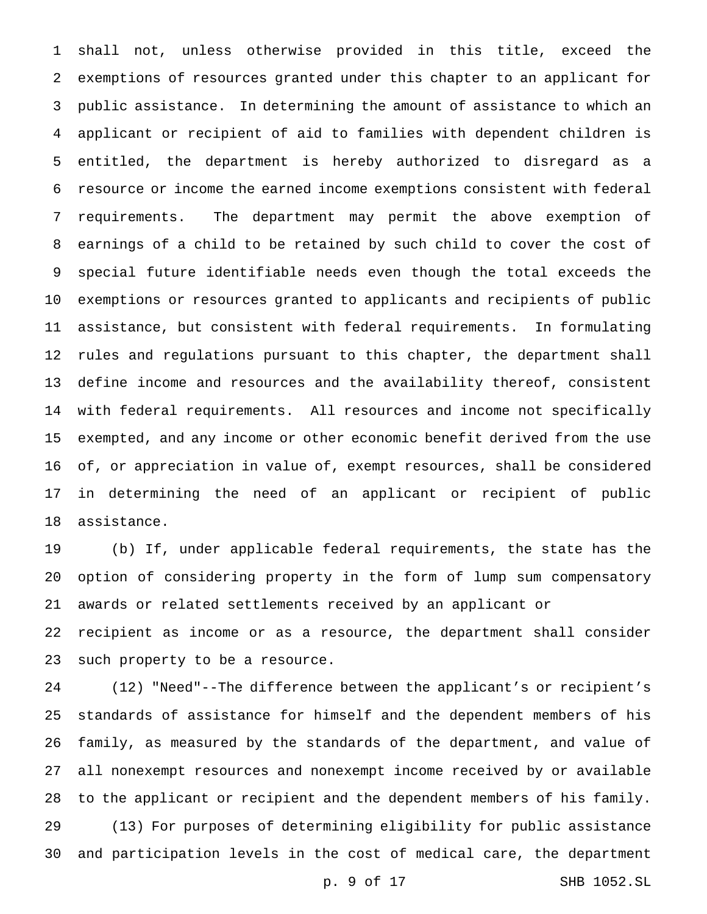shall not, unless otherwise provided in this title, exceed the exemptions of resources granted under this chapter to an applicant for public assistance. In determining the amount of assistance to which an applicant or recipient of aid to families with dependent children is entitled, the department is hereby authorized to disregard as a resource or income the earned income exemptions consistent with federal requirements. The department may permit the above exemption of earnings of a child to be retained by such child to cover the cost of special future identifiable needs even though the total exceeds the exemptions or resources granted to applicants and recipients of public assistance, but consistent with federal requirements. In formulating rules and regulations pursuant to this chapter, the department shall define income and resources and the availability thereof, consistent with federal requirements. All resources and income not specifically exempted, and any income or other economic benefit derived from the use of, or appreciation in value of, exempt resources, shall be considered in determining the need of an applicant or recipient of public assistance.

 (b) If, under applicable federal requirements, the state has the option of considering property in the form of lump sum compensatory awards or related settlements received by an applicant or

 recipient as income or as a resource, the department shall consider such property to be a resource.

 (12) "Need"--The difference between the applicant's or recipient's standards of assistance for himself and the dependent members of his family, as measured by the standards of the department, and value of all nonexempt resources and nonexempt income received by or available to the applicant or recipient and the dependent members of his family. (13) For purposes of determining eligibility for public assistance and participation levels in the cost of medical care, the department

p. 9 of 17 SHB 1052.SL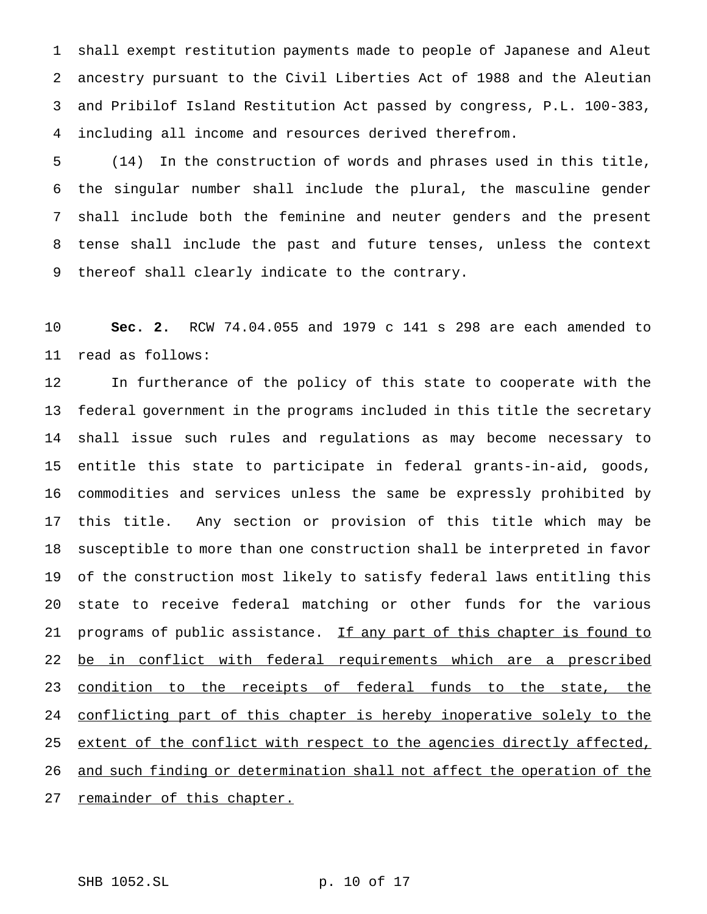shall exempt restitution payments made to people of Japanese and Aleut ancestry pursuant to the Civil Liberties Act of 1988 and the Aleutian and Pribilof Island Restitution Act passed by congress, P.L. 100-383, including all income and resources derived therefrom.

 (14) In the construction of words and phrases used in this title, the singular number shall include the plural, the masculine gender shall include both the feminine and neuter genders and the present tense shall include the past and future tenses, unless the context thereof shall clearly indicate to the contrary.

 **Sec. 2.** RCW 74.04.055 and 1979 c 141 s 298 are each amended to read as follows:

 In furtherance of the policy of this state to cooperate with the federal government in the programs included in this title the secretary shall issue such rules and regulations as may become necessary to entitle this state to participate in federal grants-in-aid, goods, commodities and services unless the same be expressly prohibited by this title. Any section or provision of this title which may be susceptible to more than one construction shall be interpreted in favor of the construction most likely to satisfy federal laws entitling this state to receive federal matching or other funds for the various 21 programs of public assistance. If any part of this chapter is found to 22 be in conflict with federal requirements which are a prescribed 23 condition to the receipts of federal funds to the state, the conflicting part of this chapter is hereby inoperative solely to the 25 extent of the conflict with respect to the agencies directly affected, and such finding or determination shall not affect the operation of the 27 remainder of this chapter.

SHB 1052.SL p. 10 of 17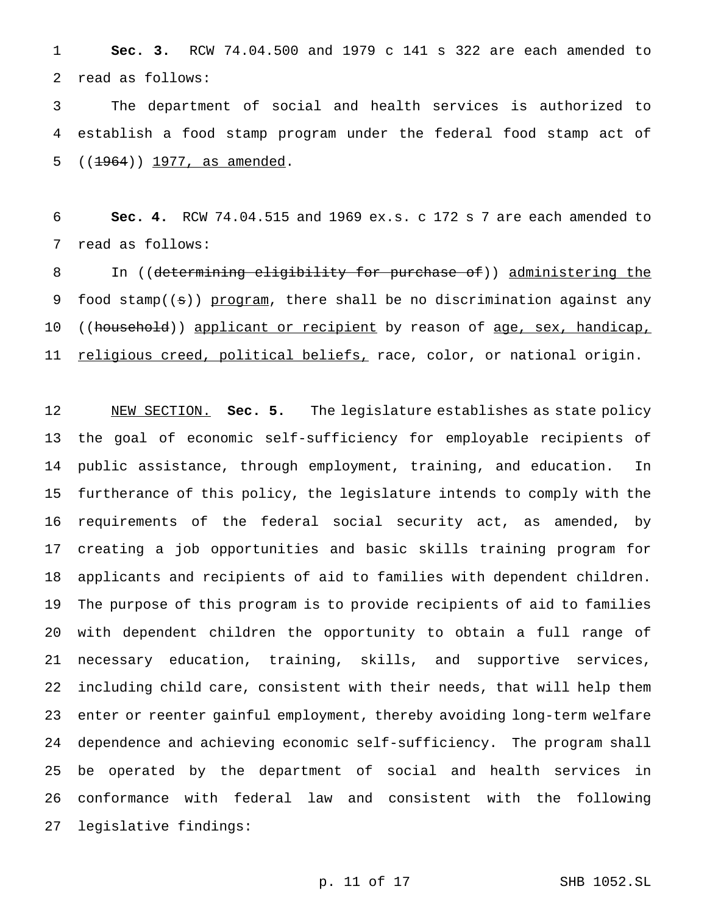**Sec. 3.** RCW 74.04.500 and 1979 c 141 s 322 are each amended to read as follows:

 The department of social and health services is authorized to establish a food stamp program under the federal food stamp act of 5 ((1964)) 1977, as amended.

 **Sec. 4.** RCW 74.04.515 and 1969 ex.s. c 172 s 7 are each amended to read as follows:

8 In ((determining eligibility for purchase of)) administering the 9 food stamp((s)) program, there shall be no discrimination against any 10 ((household)) applicant or recipient by reason of age, sex, handicap, 11 religious creed, political beliefs, race, color, or national origin.

 NEW SECTION. **Sec. 5.** The legislature establishes as state policy the goal of economic self-sufficiency for employable recipients of public assistance, through employment, training, and education. In furtherance of this policy, the legislature intends to comply with the requirements of the federal social security act, as amended, by creating a job opportunities and basic skills training program for applicants and recipients of aid to families with dependent children. The purpose of this program is to provide recipients of aid to families with dependent children the opportunity to obtain a full range of necessary education, training, skills, and supportive services, including child care, consistent with their needs, that will help them enter or reenter gainful employment, thereby avoiding long-term welfare dependence and achieving economic self-sufficiency. The program shall be operated by the department of social and health services in conformance with federal law and consistent with the following legislative findings: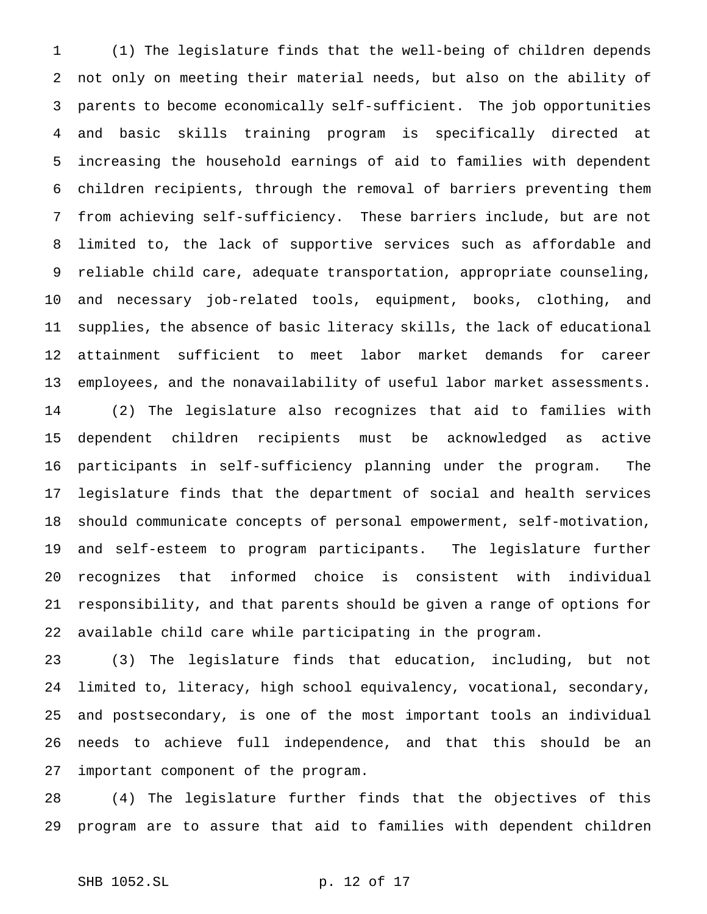(1) The legislature finds that the well-being of children depends not only on meeting their material needs, but also on the ability of parents to become economically self-sufficient. The job opportunities and basic skills training program is specifically directed at increasing the household earnings of aid to families with dependent children recipients, through the removal of barriers preventing them from achieving self-sufficiency. These barriers include, but are not limited to, the lack of supportive services such as affordable and reliable child care, adequate transportation, appropriate counseling, and necessary job-related tools, equipment, books, clothing, and supplies, the absence of basic literacy skills, the lack of educational attainment sufficient to meet labor market demands for career employees, and the nonavailability of useful labor market assessments. (2) The legislature also recognizes that aid to families with dependent children recipients must be acknowledged as active participants in self-sufficiency planning under the program. The legislature finds that the department of social and health services should communicate concepts of personal empowerment, self-motivation, and self-esteem to program participants. The legislature further recognizes that informed choice is consistent with individual responsibility, and that parents should be given a range of options for available child care while participating in the program.

 (3) The legislature finds that education, including, but not limited to, literacy, high school equivalency, vocational, secondary, and postsecondary, is one of the most important tools an individual needs to achieve full independence, and that this should be an important component of the program.

 (4) The legislature further finds that the objectives of this program are to assure that aid to families with dependent children

```
SHB 1052.SL p. 12 of 17
```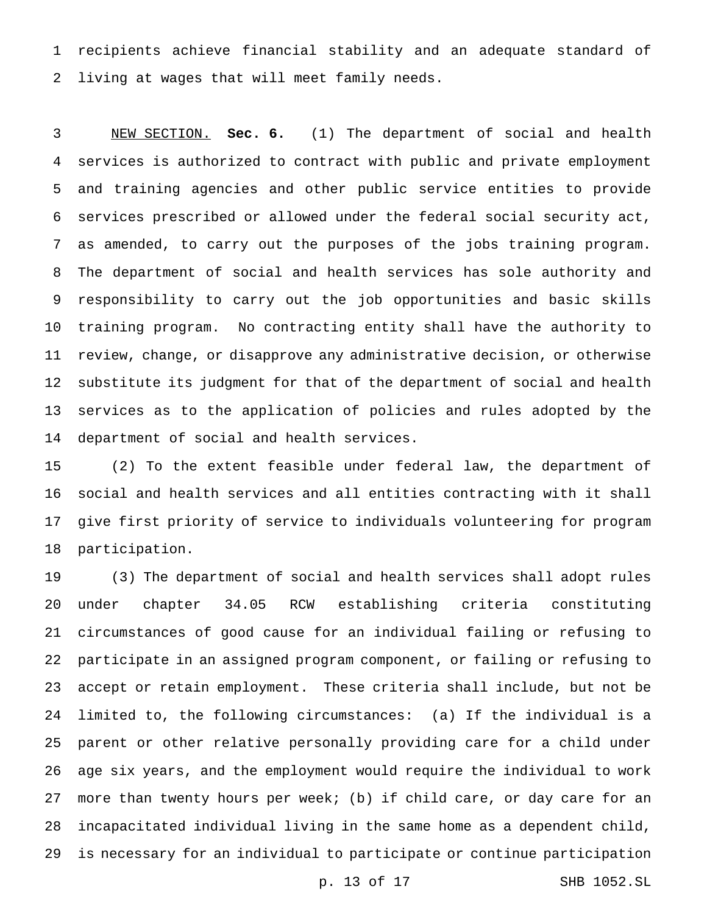recipients achieve financial stability and an adequate standard of living at wages that will meet family needs.

 NEW SECTION. **Sec. 6.** (1) The department of social and health services is authorized to contract with public and private employment and training agencies and other public service entities to provide services prescribed or allowed under the federal social security act, as amended, to carry out the purposes of the jobs training program. The department of social and health services has sole authority and responsibility to carry out the job opportunities and basic skills training program. No contracting entity shall have the authority to review, change, or disapprove any administrative decision, or otherwise substitute its judgment for that of the department of social and health services as to the application of policies and rules adopted by the department of social and health services.

 (2) To the extent feasible under federal law, the department of social and health services and all entities contracting with it shall give first priority of service to individuals volunteering for program participation.

 (3) The department of social and health services shall adopt rules under chapter 34.05 RCW establishing criteria constituting circumstances of good cause for an individual failing or refusing to participate in an assigned program component, or failing or refusing to accept or retain employment. These criteria shall include, but not be limited to, the following circumstances: (a) If the individual is a parent or other relative personally providing care for a child under age six years, and the employment would require the individual to work more than twenty hours per week; (b) if child care, or day care for an incapacitated individual living in the same home as a dependent child, is necessary for an individual to participate or continue participation

p. 13 of 17 SHB 1052.SL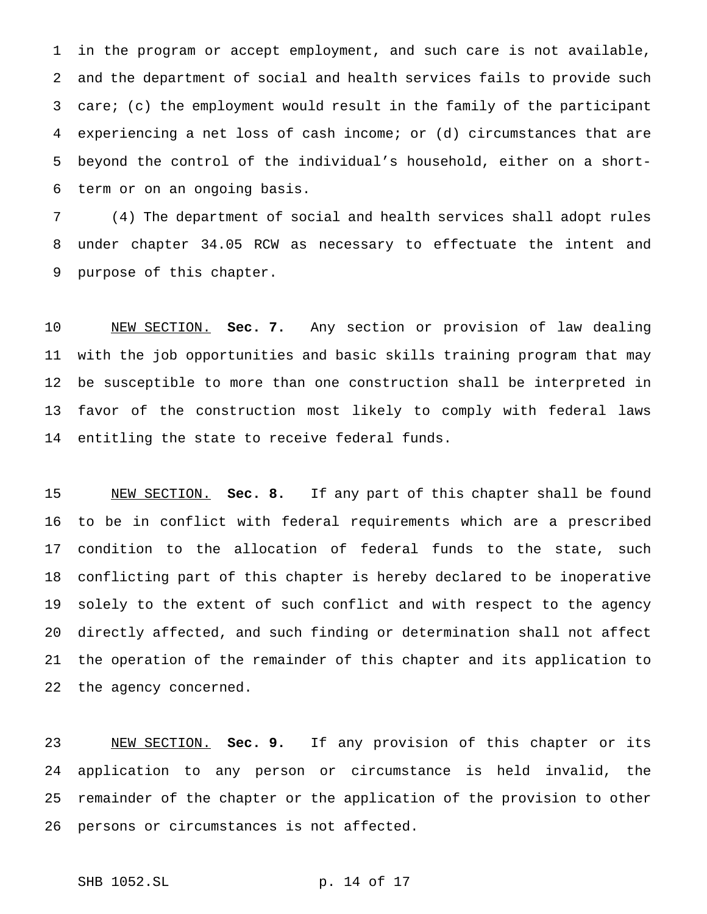in the program or accept employment, and such care is not available, and the department of social and health services fails to provide such care; (c) the employment would result in the family of the participant experiencing a net loss of cash income; or (d) circumstances that are beyond the control of the individual's household, either on a short-term or on an ongoing basis.

 (4) The department of social and health services shall adopt rules under chapter 34.05 RCW as necessary to effectuate the intent and purpose of this chapter.

 NEW SECTION. **Sec. 7.** Any section or provision of law dealing with the job opportunities and basic skills training program that may be susceptible to more than one construction shall be interpreted in favor of the construction most likely to comply with federal laws entitling the state to receive federal funds.

 NEW SECTION. **Sec. 8.** If any part of this chapter shall be found to be in conflict with federal requirements which are a prescribed condition to the allocation of federal funds to the state, such conflicting part of this chapter is hereby declared to be inoperative solely to the extent of such conflict and with respect to the agency directly affected, and such finding or determination shall not affect the operation of the remainder of this chapter and its application to the agency concerned.

 NEW SECTION. **Sec. 9.** If any provision of this chapter or its application to any person or circumstance is held invalid, the remainder of the chapter or the application of the provision to other persons or circumstances is not affected.

SHB 1052.SL p. 14 of 17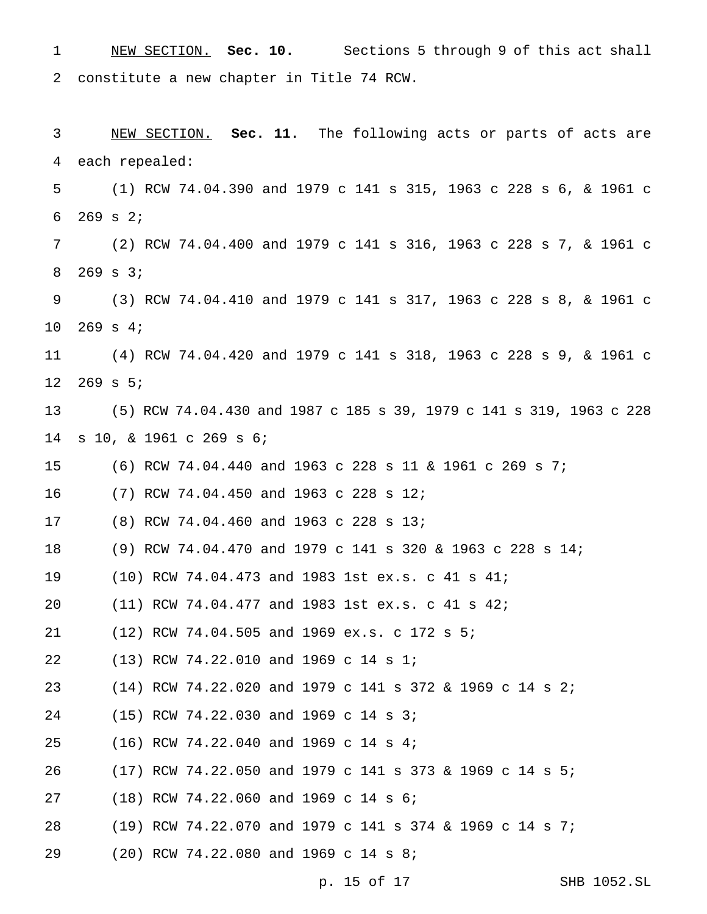| $\mathbf 1$    | NEW SECTION. Sec. 10. Sections 5 through 9 of this act shall        |
|----------------|---------------------------------------------------------------------|
| $\overline{2}$ | constitute a new chapter in Title 74 RCW.                           |
| 3              | NEW SECTION. Sec. 11. The following acts or parts of acts are       |
| 4              | each repealed:                                                      |
| 5              | (1) RCW 74.04.390 and 1979 c 141 s 315, 1963 c 228 s 6, & 1961 c    |
| 6              | $269$ s $2i$                                                        |
| 7              | (2) RCW 74.04.400 and 1979 c 141 s 316, 1963 c 228 s 7, & 1961 c    |
| 8              | $269$ s $3;$                                                        |
| 9              | (3) RCW 74.04.410 and 1979 c 141 s 317, 1963 c 228 s 8, & 1961 c    |
| 10             | $269$ s 4;                                                          |
| 11             | (4) RCW 74.04.420 and 1979 c 141 s 318, 1963 c 228 s 9, & 1961 c    |
| 12             | $269$ s $5:$                                                        |
| 13             | (5) RCW 74.04.430 and 1987 c 185 s 39, 1979 c 141 s 319, 1963 c 228 |
| 14             | s 10, & 1961 c 269 s 6;                                             |
| 15             | (6) RCW 74.04.440 and 1963 c 228 s 11 & 1961 c 269 s 7;             |
| 16             | (7) RCW 74.04.450 and 1963 c 228 s 12;                              |
| 17             | (8) RCW 74.04.460 and 1963 c 228 s 13;                              |
| 18             | (9) RCW 74.04.470 and 1979 c 141 s 320 & 1963 c 228 s 14;           |
| 19             | (10) RCW 74.04.473 and 1983 1st ex.s. c 41 s 41;                    |
| 20             | (11) RCW 74.04.477 and 1983 1st ex.s. c 41 s 42;                    |
| 21             | (12) RCW 74.04.505 and 1969 ex.s. c 172 s 5;                        |
| 22             | (13) RCW 74.22.010 and 1969 c 14 s 1;                               |
| 23             | $(14)$ RCW 74.22.020 and 1979 c 141 s 372 & 1969 c 14 s 2;          |
| 24             | (15) RCW 74.22.030 and 1969 c 14 s 3;                               |
| 25             | $(16)$ RCW 74.22.040 and 1969 c 14 s 4;                             |
| 26             | $(17)$ RCW 74.22.050 and 1979 c 141 s 373 & 1969 c 14 s 5;          |
| 27             | (18) RCW 74.22.060 and 1969 c 14 s 6;                               |
| 28             | (19) RCW 74.22.070 and 1979 c 141 s 374 & 1969 c 14 s 7;            |
| 29             | (20) RCW 74.22.080 and 1969 c 14 s 8;                               |

p. 15 of 17 SHB 1052.SL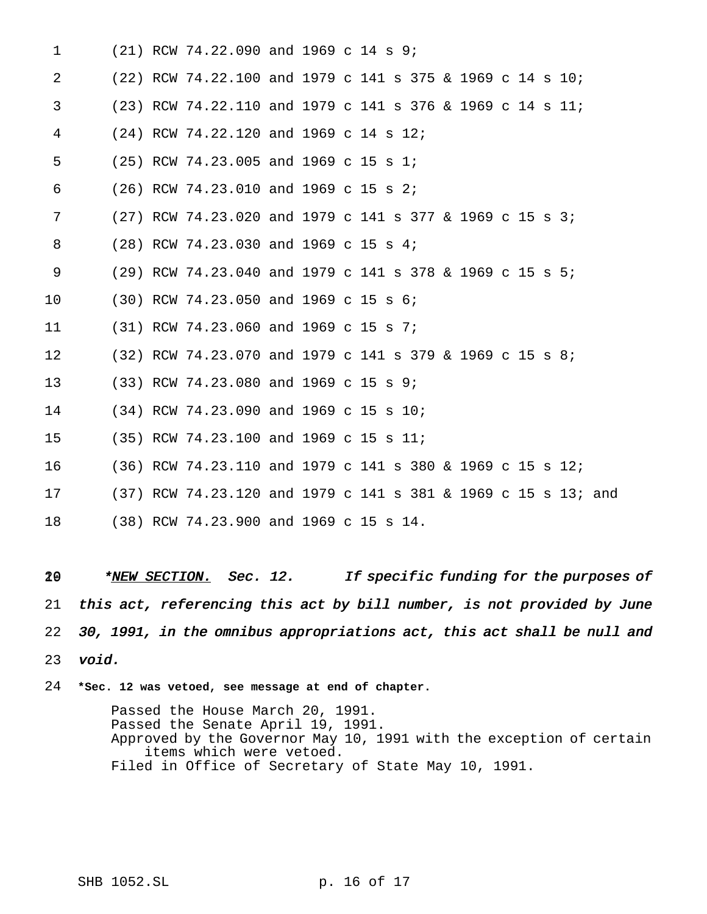| $\mathbf{1}$ |  | $(21)$ RCW 74.22.090 and 1969 c 14 s 9;  |  |                                                               |
|--------------|--|------------------------------------------|--|---------------------------------------------------------------|
| 2            |  |                                          |  | (22) RCW 74.22.100 and 1979 c 141 s 375 & 1969 c 14 s 10;     |
| 3            |  |                                          |  | (23) RCW 74.22.110 and 1979 c 141 s 376 & 1969 c 14 s 11;     |
| 4            |  | $(24)$ RCW 74.22.120 and 1969 c 14 s 12; |  |                                                               |
| 5            |  | $(25)$ RCW 74.23.005 and 1969 c 15 s 1;  |  |                                                               |
| 6            |  | $(26)$ RCW 74.23.010 and 1969 c 15 s 2;  |  |                                                               |
| 7            |  |                                          |  | $(27)$ RCW 74.23.020 and 1979 c 141 s 377 & 1969 c 15 s 3;    |
| 8            |  | (28) RCW 74.23.030 and 1969 c 15 s 4;    |  |                                                               |
| 9            |  |                                          |  | (29) RCW 74.23.040 and 1979 c 141 s 378 & 1969 c 15 s 5;      |
| 10           |  | $(30)$ RCW 74.23.050 and 1969 c 15 s 6;  |  |                                                               |
| 11           |  | $(31)$ RCW 74.23.060 and 1969 c 15 s 7;  |  |                                                               |
| 12           |  |                                          |  | $(32)$ RCW 74.23.070 and 1979 c 141 s 379 & 1969 c 15 s 8;    |
| 13           |  | $(33)$ RCW 74.23.080 and 1969 c 15 s 9;  |  |                                                               |
| 14           |  | (34) RCW 74.23.090 and 1969 c 15 s 10;   |  |                                                               |
| 15           |  | (35) RCW 74.23.100 and 1969 c 15 s 11;   |  |                                                               |
| 16           |  |                                          |  | (36) RCW 74.23.110 and 1979 c 141 s 380 & 1969 c 15 s 12;     |
| 17           |  |                                          |  | (37) RCW 74.23.120 and 1979 c 141 s 381 & 1969 c 15 s 13; and |
| 18           |  | (38) RCW 74.23.900 and 1969 c 15 s 14.   |  |                                                               |

19 \*NEW SECTION. Sec. 12. If specific funding for the purposes of this act, referencing this act by bill number, is not provided by June 30, 1991, in the omnibus appropriations act, this act shall be null and void.

**\*Sec. 12 was vetoed, see message at end of chapter.**

Passed the House March 20, 1991. Passed the Senate April 19, 1991. Approved by the Governor May 10, 1991 with the exception of certain items which were vetoed. Filed in Office of Secretary of State May 10, 1991.